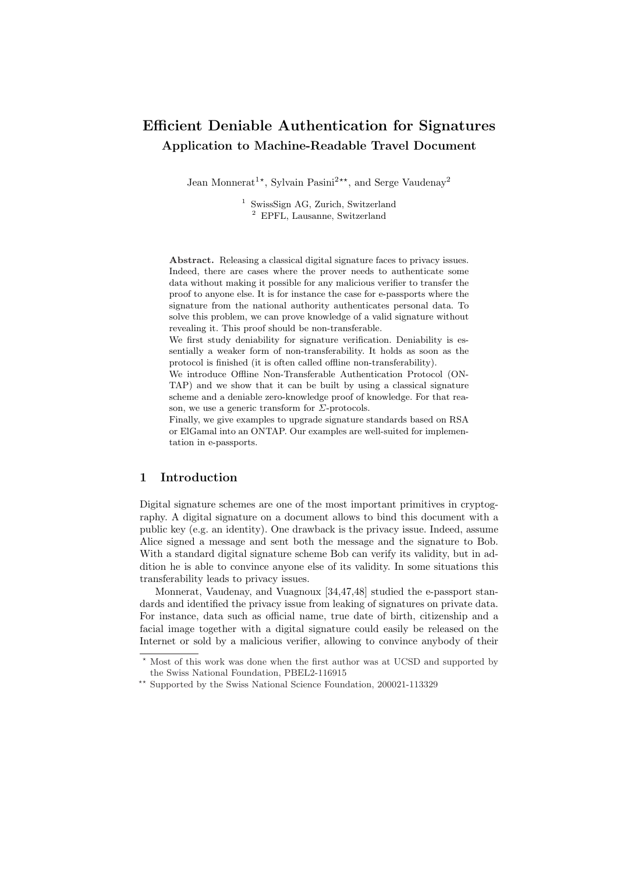# Efficient Deniable Authentication for Signatures Application to Machine-Readable Travel Document

Jean Monnerat<sup>1\*</sup>, Sylvain Pasini<sup>2\*\*</sup>, and Serge Vaudenay<sup>2</sup>

<sup>1</sup> SwissSign AG, Zurich, Switzerland <sup>2</sup> EPFL, Lausanne, Switzerland

Abstract. Releasing a classical digital signature faces to privacy issues. Indeed, there are cases where the prover needs to authenticate some data without making it possible for any malicious verifier to transfer the proof to anyone else. It is for instance the case for e-passports where the signature from the national authority authenticates personal data. To solve this problem, we can prove knowledge of a valid signature without revealing it. This proof should be non-transferable.

We first study deniability for signature verification. Deniability is essentially a weaker form of non-transferability. It holds as soon as the protocol is finished (it is often called offline non-transferability).

We introduce Offline Non-Transferable Authentication Protocol (ON-TAP) and we show that it can be built by using a classical signature scheme and a deniable zero-knowledge proof of knowledge. For that reason, we use a generic transform for  $\Sigma$ -protocols.

Finally, we give examples to upgrade signature standards based on RSA or ElGamal into an ONTAP. Our examples are well-suited for implementation in e-passports.

# 1 Introduction

Digital signature schemes are one of the most important primitives in cryptography. A digital signature on a document allows to bind this document with a public key (e.g. an identity). One drawback is the privacy issue. Indeed, assume Alice signed a message and sent both the message and the signature to Bob. With a standard digital signature scheme Bob can verify its validity, but in addition he is able to convince anyone else of its validity. In some situations this transferability leads to privacy issues.

Monnerat, Vaudenay, and Vuagnoux [34,47,48] studied the e-passport standards and identified the privacy issue from leaking of signatures on private data. For instance, data such as official name, true date of birth, citizenship and a facial image together with a digital signature could easily be released on the Internet or sold by a malicious verifier, allowing to convince anybody of their

<sup>?</sup> Most of this work was done when the first author was at UCSD and supported by the Swiss National Foundation, PBEL2-116915

<sup>\*\*</sup> Supported by the Swiss National Science Foundation, 200021-113329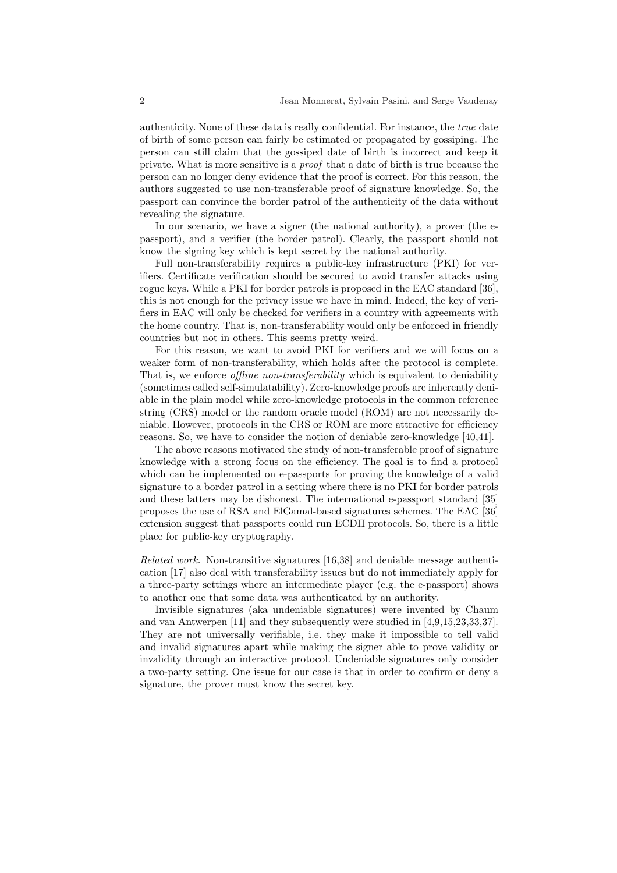authenticity. None of these data is really confidential. For instance, the true date of birth of some person can fairly be estimated or propagated by gossiping. The person can still claim that the gossiped date of birth is incorrect and keep it private. What is more sensitive is a proof that a date of birth is true because the person can no longer deny evidence that the proof is correct. For this reason, the authors suggested to use non-transferable proof of signature knowledge. So, the passport can convince the border patrol of the authenticity of the data without revealing the signature.

In our scenario, we have a signer (the national authority), a prover (the epassport), and a verifier (the border patrol). Clearly, the passport should not know the signing key which is kept secret by the national authority.

Full non-transferability requires a public-key infrastructure (PKI) for verifiers. Certificate verification should be secured to avoid transfer attacks using rogue keys. While a PKI for border patrols is proposed in the EAC standard [36], this is not enough for the privacy issue we have in mind. Indeed, the key of verifiers in EAC will only be checked for verifiers in a country with agreements with the home country. That is, non-transferability would only be enforced in friendly countries but not in others. This seems pretty weird.

For this reason, we want to avoid PKI for verifiers and we will focus on a weaker form of non-transferability, which holds after the protocol is complete. That is, we enforce *offline non-transferability* which is equivalent to deniability (sometimes called self-simulatability). Zero-knowledge proofs are inherently deniable in the plain model while zero-knowledge protocols in the common reference string (CRS) model or the random oracle model (ROM) are not necessarily deniable. However, protocols in the CRS or ROM are more attractive for efficiency reasons. So, we have to consider the notion of deniable zero-knowledge [40,41].

The above reasons motivated the study of non-transferable proof of signature knowledge with a strong focus on the efficiency. The goal is to find a protocol which can be implemented on e-passports for proving the knowledge of a valid signature to a border patrol in a setting where there is no PKI for border patrols and these latters may be dishonest. The international e-passport standard [35] proposes the use of RSA and ElGamal-based signatures schemes. The EAC [36] extension suggest that passports could run ECDH protocols. So, there is a little place for public-key cryptography.

Related work. Non-transitive signatures [16,38] and deniable message authentication [17] also deal with transferability issues but do not immediately apply for a three-party settings where an intermediate player (e.g. the e-passport) shows to another one that some data was authenticated by an authority.

Invisible signatures (aka undeniable signatures) were invented by Chaum and van Antwerpen [11] and they subsequently were studied in [4,9,15,23,33,37]. They are not universally verifiable, i.e. they make it impossible to tell valid and invalid signatures apart while making the signer able to prove validity or invalidity through an interactive protocol. Undeniable signatures only consider a two-party setting. One issue for our case is that in order to confirm or deny a signature, the prover must know the secret key.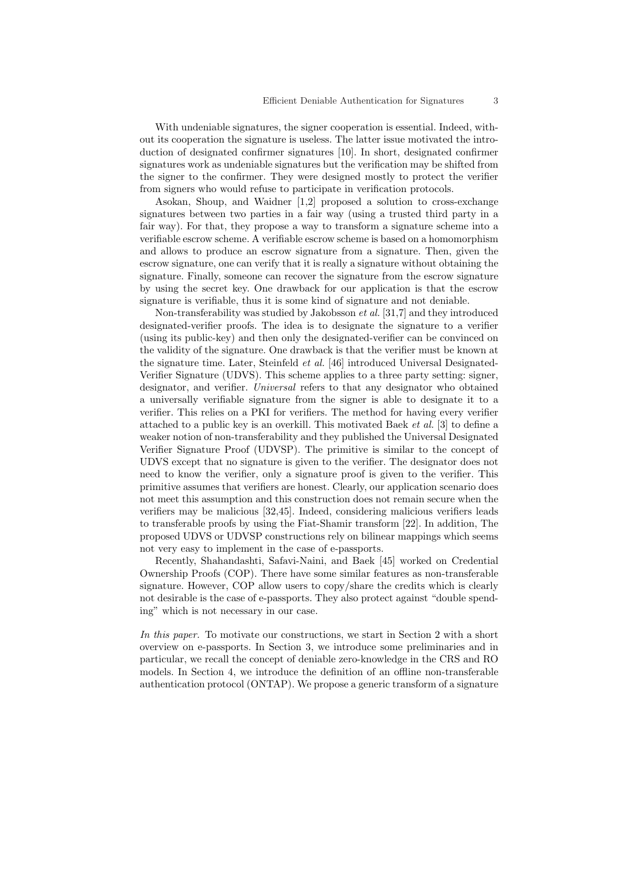With undeniable signatures, the signer cooperation is essential. Indeed, without its cooperation the signature is useless. The latter issue motivated the introduction of designated confirmer signatures [10]. In short, designated confirmer signatures work as undeniable signatures but the verification may be shifted from the signer to the confirmer. They were designed mostly to protect the verifier from signers who would refuse to participate in verification protocols.

Asokan, Shoup, and Waidner [1,2] proposed a solution to cross-exchange signatures between two parties in a fair way (using a trusted third party in a fair way). For that, they propose a way to transform a signature scheme into a verifiable escrow scheme. A verifiable escrow scheme is based on a homomorphism and allows to produce an escrow signature from a signature. Then, given the escrow signature, one can verify that it is really a signature without obtaining the signature. Finally, someone can recover the signature from the escrow signature by using the secret key. One drawback for our application is that the escrow signature is verifiable, thus it is some kind of signature and not deniable.

Non-transferability was studied by Jakobsson et al. [31,7] and they introduced designated-verifier proofs. The idea is to designate the signature to a verifier (using its public-key) and then only the designated-verifier can be convinced on the validity of the signature. One drawback is that the verifier must be known at the signature time. Later, Steinfeld et al. [46] introduced Universal Designated-Verifier Signature (UDVS). This scheme applies to a three party setting: signer, designator, and verifier. Universal refers to that any designator who obtained a universally verifiable signature from the signer is able to designate it to a verifier. This relies on a PKI for verifiers. The method for having every verifier attached to a public key is an overkill. This motivated Baek et al. [3] to define a weaker notion of non-transferability and they published the Universal Designated Verifier Signature Proof (UDVSP). The primitive is similar to the concept of UDVS except that no signature is given to the verifier. The designator does not need to know the verifier, only a signature proof is given to the verifier. This primitive assumes that verifiers are honest. Clearly, our application scenario does not meet this assumption and this construction does not remain secure when the verifiers may be malicious [32,45]. Indeed, considering malicious verifiers leads to transferable proofs by using the Fiat-Shamir transform [22]. In addition, The proposed UDVS or UDVSP constructions rely on bilinear mappings which seems not very easy to implement in the case of e-passports.

Recently, Shahandashti, Safavi-Naini, and Baek [45] worked on Credential Ownership Proofs (COP). There have some similar features as non-transferable signature. However, COP allow users to copy/share the credits which is clearly not desirable is the case of e-passports. They also protect against "double spending" which is not necessary in our case.

In this paper. To motivate our constructions, we start in Section 2 with a short overview on e-passports. In Section 3, we introduce some preliminaries and in particular, we recall the concept of deniable zero-knowledge in the CRS and RO models. In Section 4, we introduce the definition of an offline non-transferable authentication protocol (ONTAP). We propose a generic transform of a signature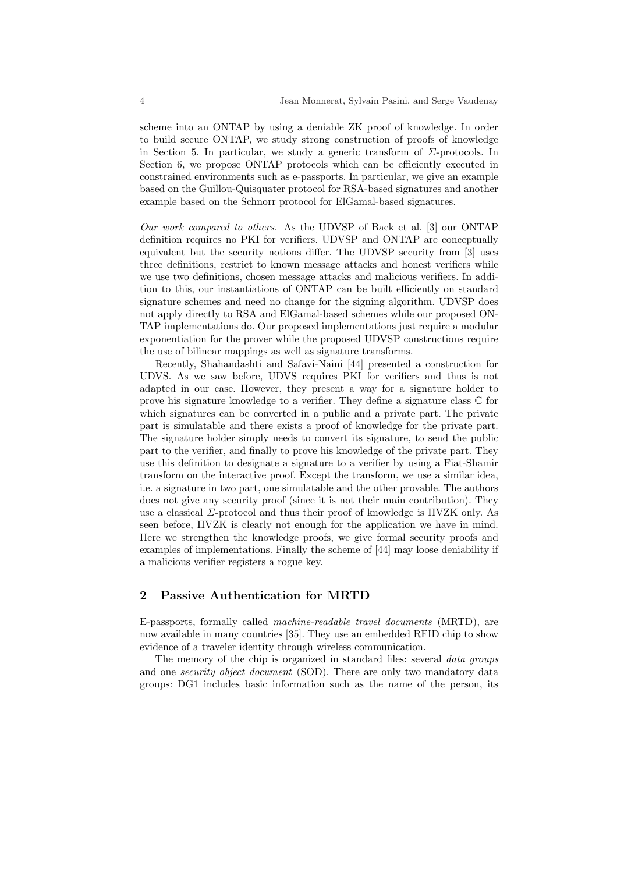scheme into an ONTAP by using a deniable ZK proof of knowledge. In order to build secure ONTAP, we study strong construction of proofs of knowledge in Section 5. In particular, we study a generic transform of  $\Sigma$ -protocols. In Section 6, we propose ONTAP protocols which can be efficiently executed in constrained environments such as e-passports. In particular, we give an example based on the Guillou-Quisquater protocol for RSA-based signatures and another example based on the Schnorr protocol for ElGamal-based signatures.

Our work compared to others. As the UDVSP of Baek et al. [3] our ONTAP definition requires no PKI for verifiers. UDVSP and ONTAP are conceptually equivalent but the security notions differ. The UDVSP security from [3] uses three definitions, restrict to known message attacks and honest verifiers while we use two definitions, chosen message attacks and malicious verifiers. In addition to this, our instantiations of ONTAP can be built efficiently on standard signature schemes and need no change for the signing algorithm. UDVSP does not apply directly to RSA and ElGamal-based schemes while our proposed ON-TAP implementations do. Our proposed implementations just require a modular exponentiation for the prover while the proposed UDVSP constructions require the use of bilinear mappings as well as signature transforms.

Recently, Shahandashti and Safavi-Naini [44] presented a construction for UDVS. As we saw before, UDVS requires PKI for verifiers and thus is not adapted in our case. However, they present a way for a signature holder to prove his signature knowledge to a verifier. They define a signature class C for which signatures can be converted in a public and a private part. The private part is simulatable and there exists a proof of knowledge for the private part. The signature holder simply needs to convert its signature, to send the public part to the verifier, and finally to prove his knowledge of the private part. They use this definition to designate a signature to a verifier by using a Fiat-Shamir transform on the interactive proof. Except the transform, we use a similar idea, i.e. a signature in two part, one simulatable and the other provable. The authors does not give any security proof (since it is not their main contribution). They use a classical  $\Sigma$ -protocol and thus their proof of knowledge is HVZK only. As seen before, HVZK is clearly not enough for the application we have in mind. Here we strengthen the knowledge proofs, we give formal security proofs and examples of implementations. Finally the scheme of [44] may loose deniability if a malicious verifier registers a rogue key.

# 2 Passive Authentication for MRTD

E-passports, formally called machine-readable travel documents (MRTD), are now available in many countries [35]. They use an embedded RFID chip to show evidence of a traveler identity through wireless communication.

The memory of the chip is organized in standard files: several *data groups* and one *security object document* (SOD). There are only two mandatory data groups: DG1 includes basic information such as the name of the person, its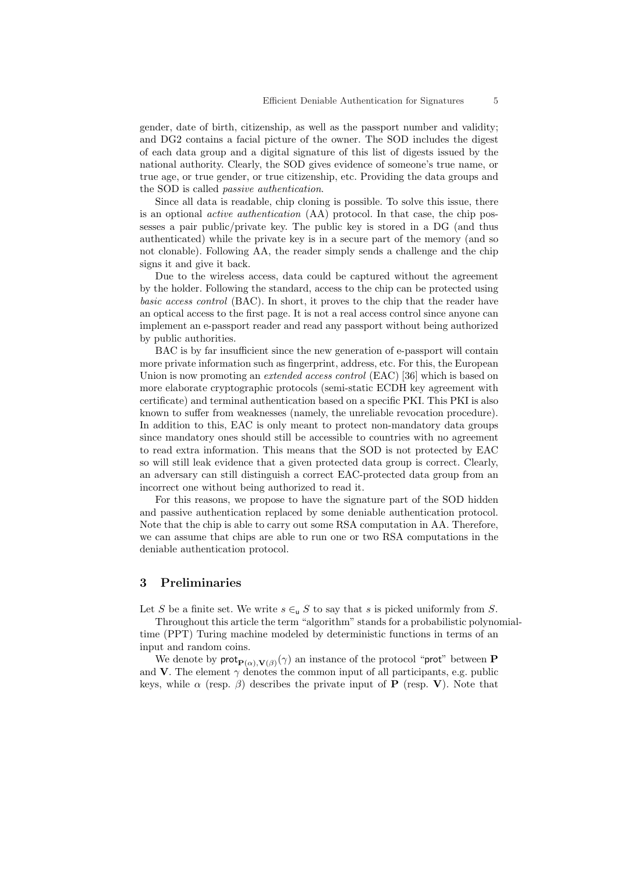gender, date of birth, citizenship, as well as the passport number and validity; and DG2 contains a facial picture of the owner. The SOD includes the digest of each data group and a digital signature of this list of digests issued by the national authority. Clearly, the SOD gives evidence of someone's true name, or true age, or true gender, or true citizenship, etc. Providing the data groups and the SOD is called passive authentication.

Since all data is readable, chip cloning is possible. To solve this issue, there is an optional active authentication (AA) protocol. In that case, the chip possesses a pair public/private key. The public key is stored in a DG (and thus authenticated) while the private key is in a secure part of the memory (and so not clonable). Following AA, the reader simply sends a challenge and the chip signs it and give it back.

Due to the wireless access, data could be captured without the agreement by the holder. Following the standard, access to the chip can be protected using basic access control (BAC). In short, it proves to the chip that the reader have an optical access to the first page. It is not a real access control since anyone can implement an e-passport reader and read any passport without being authorized by public authorities.

BAC is by far insufficient since the new generation of e-passport will contain more private information such as fingerprint, address, etc. For this, the European Union is now promoting an *extended access control* (EAC) [36] which is based on more elaborate cryptographic protocols (semi-static ECDH key agreement with certificate) and terminal authentication based on a specific PKI. This PKI is also known to suffer from weaknesses (namely, the unreliable revocation procedure). In addition to this, EAC is only meant to protect non-mandatory data groups since mandatory ones should still be accessible to countries with no agreement to read extra information. This means that the SOD is not protected by EAC so will still leak evidence that a given protected data group is correct. Clearly, an adversary can still distinguish a correct EAC-protected data group from an incorrect one without being authorized to read it.

For this reasons, we propose to have the signature part of the SOD hidden and passive authentication replaced by some deniable authentication protocol. Note that the chip is able to carry out some RSA computation in AA. Therefore, we can assume that chips are able to run one or two RSA computations in the deniable authentication protocol.

# 3 Preliminaries

Let S be a finite set. We write  $s \in u S$  to say that s is picked uniformly from S.

Throughout this article the term "algorithm" stands for a probabilistic polynomialtime (PPT) Turing machine modeled by deterministic functions in terms of an input and random coins.

We denote by  $\mathsf{prot}_{\mathbf{P}(\alpha),\mathbf{V}(\beta)}(\gamma)$  an instance of the protocol "prot" between **P** and **V**. The element  $\gamma$  denotes the common input of all participants, e.g. public keys, while  $\alpha$  (resp.  $\beta$ ) describes the private input of **P** (resp. **V**). Note that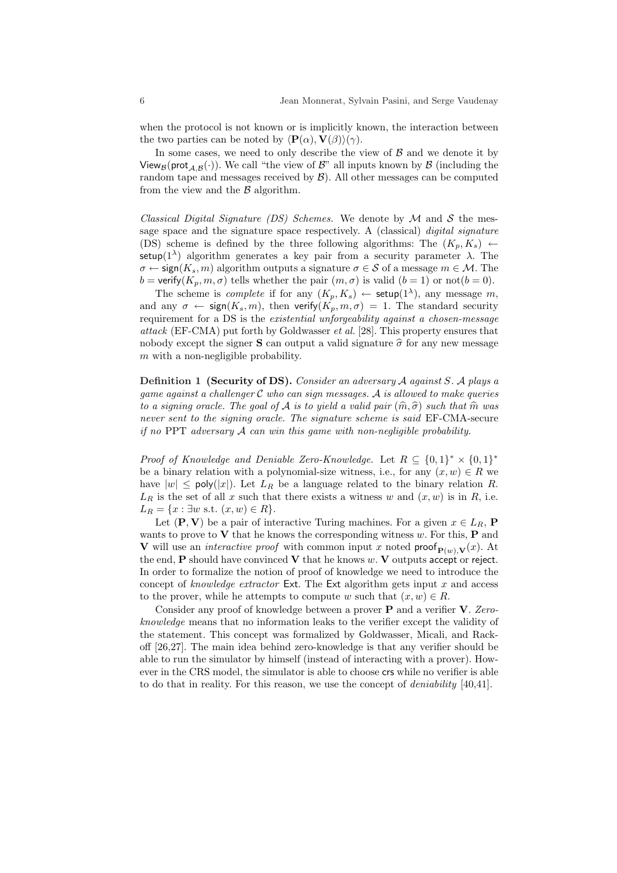when the protocol is not known or is implicitly known, the interaction between the two parties can be noted by  $\langle \mathbf{P}(\alpha), \mathbf{V}(\beta) \rangle (\gamma)$ .

In some cases, we need to only describe the view of  $\beta$  and we denote it by View<sub>B</sub>(prot<sub>A,B</sub>(·)). We call "the view of  $\mathcal{B}$ " all inputs known by  $\mathcal{B}$  (including the random tape and messages received by  $\mathcal{B}$ ). All other messages can be computed from the view and the  $\beta$  algorithm.

Classical Digital Signature (DS) Schemes. We denote by  $\mathcal M$  and  $\mathcal S$  the message space and the signature space respectively. A (classical) *digital signature* (DS) scheme is defined by the three following algorithms: The  $(K_p, K_s) \leftarrow$ setup( $1^{\lambda}$ ) algorithm generates a key pair from a security parameter  $\lambda$ . The  $\sigma \leftarrow \text{sign}(K_s, m)$  algorithm outputs a signature  $\sigma \in \mathcal{S}$  of a message  $m \in \mathcal{M}$ . The b = verify( $K_p, m, \sigma$ ) tells whether the pair  $(m, \sigma)$  is valid  $(b = 1)$  or not $(b = 0)$ .

The scheme is *complete* if for any  $(K_p, K_s) \leftarrow \mathsf{setup}(1^{\lambda})$ , any message m, and any  $\sigma \leftarrow \text{sign}(K_s, m)$ , then verify $(K_p, m, \sigma) = 1$ . The standard security requirement for a DS is the *existential unforgeability against a chosen-message* attack (EF-CMA) put forth by Goldwasser et al. [28]. This property ensures that nobody except the signer **S** can output a valid signature  $\hat{\sigma}$  for any new message  $m$  with a non-negligible probability.

**Definition 1 (Security of DS).** Consider an adversary A against S. A plays a game against a challenger  $C$  who can sign messages. A is allowed to make queries to a signing oracle. The goal of A is to yield a valid pair  $(\widehat{m}, \widehat{\sigma})$  such that  $\widehat{m}$  was never sent to the signing oracle. The signature scheme is said EF-CMA-secure if no PPT adversary A can win this game with non-negligible probability.

*Proof of Knowledge and Deniable Zero-Knowledge.* Let  $R \subseteq \{0,1\}^* \times \{0,1\}^*$ be a binary relation with a polynomial-size witness, i.e., for any  $(x, w) \in R$  we have  $|w| < \text{poly}(|x|)$ . Let  $L_R$  be a language related to the binary relation R.  $L_R$  is the set of all x such that there exists a witness w and  $(x, w)$  is in R, i.e.  $L_R = \{x : \exists w \text{ s.t. } (x, w) \in R\}.$ 

Let  $(\mathbf{P}, \mathbf{V})$  be a pair of interactive Turing machines. For a given  $x \in L_R$ , **P** wants to prove to  $V$  that he knows the corresponding witness w. For this,  $P$  and V will use an *interactive proof* with common input x noted **proof**<sub>P(w)</sub> $\mathbf{v}(x)$ . At the end,  $P$  should have convinced  $V$  that he knows  $w$ .  $V$  outputs accept or reject. In order to formalize the notion of proof of knowledge we need to introduce the concept of knowledge extractor  $Ext$ . The  $Ext$  algorithm gets input x and access to the prover, while he attempts to compute w such that  $(x, w) \in R$ .

Consider any proof of knowledge between a prover  $P$  and a verifier  $V$ . Zeroknowledge means that no information leaks to the verifier except the validity of the statement. This concept was formalized by Goldwasser, Micali, and Rackoff [26,27]. The main idea behind zero-knowledge is that any verifier should be able to run the simulator by himself (instead of interacting with a prover). However in the CRS model, the simulator is able to choose crs while no verifier is able to do that in reality. For this reason, we use the concept of deniability [40,41].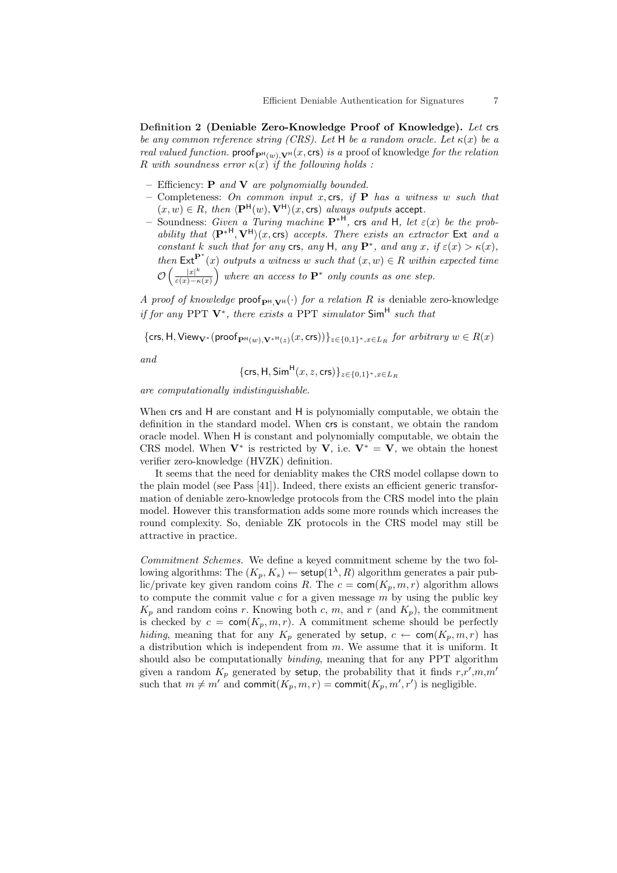Definition 2 (Deniable Zero-Knowledge Proof of Knowledge). Let crs be any common reference string (CRS). Let H be a random oracle. Let  $\kappa(x)$  be a real valued function.  $\mathsf{proof}_{\mathbf{P}^{\mathsf{H}}(w),\mathbf{V}^{\mathsf{H}}}(x,\mathsf{crs})$  is a proof of knowledge for the relation R with soundness error  $\kappa(x)$  if the following holds :

- Efficiency:  $P$  and  $V$  are polynomially bounded.
- Completeness: On common input x, crs, if  $P$  has a witness w such that  $(x, w) \in R$ , then  $\langle \mathbf{P}^{\mathsf{H}}(w), \mathbf{V}^{\mathsf{H}} \rangle (x, \text{crs})$  always outputs accept.
- Soundness: Given a Turing machine  $\mathbf{P}^*$ <sup>H</sup>, crs and H, let  $\varepsilon(x)$  be the probability that  $\langle P^{*H}, V^H \rangle (x, \text{crs})$  accepts. There exists an extractor Ext and a constant k such that for any crs, any H, any  $\mathbf{P}^*$ , and any x, if  $\varepsilon(x) > \kappa(x)$ , then  $\mathsf{Ext}^{\mathbf{P}^*}(x)$  outputs a witness w such that  $(x, w) \in R$  within expected time  $\mathcal O$  $\frac{en}{|x|^k}$  $\varepsilon(x)-\kappa(x)$ <u>:)</u> where an access to  $\mathbf{P}^*$  only counts as one step.

A proof of knowledge proof $_{\mathbf{P}^{\text{H}},\mathbf{V}^{\text{H}}}(\cdot)$  for a relation R is deniable zero-knowledge if for any PPT  $V^*$ , there exists a PPT simulator  $\textsf{Sim}^{\textsf{H}}$  such that

 $\{\textsf{crs}, \textsf{H}, \textsf{View}_{\mathbf{V}^*}(\textsf{proof}_{\mathbf{P}^{\textsf{H}}(w),\mathbf{V}^{*\textsf{H}}(z)}(x,\textsf{crs}))\}_{z\in\{0,1\}^*, x\in L_R} \textit{ for arbitrary } w\in R(x)$ 

and

$$
{\{\mathsf{crs},\mathsf{H},\mathsf{Sim}^\mathsf{H}(x,z,\mathsf{crs})\}_{z\in\{0,1\}^*,x\in L_R}}
$$

are computationally indistinguishable.

When crs and H are constant and H is polynomially computable, we obtain the definition in the standard model. When crs is constant, we obtain the random oracle model. When H is constant and polynomially computable, we obtain the CRS model. When  $V^*$  is restricted by  $V$ , i.e.  $V^* = V$ , we obtain the honest verifier zero-knowledge (HVZK) definition.

It seems that the need for deniablity makes the CRS model collapse down to the plain model (see Pass [41]). Indeed, there exists an efficient generic transformation of deniable zero-knowledge protocols from the CRS model into the plain model. However this transformation adds some more rounds which increases the round complexity. So, deniable ZK protocols in the CRS model may still be attractive in practice.

Commitment Schemes. We define a keyed commitment scheme by the two following algorithms: The  $(K_p, K_s) \leftarrow$  setup $(1^{\lambda}, R)$  algorithm generates a pair public/private key given random coins R. The  $c = \text{com}(K_p, m, r)$  algorithm allows to compute the commit value  $c$  for a given message  $m$  by using the public key  $K_p$  and random coins r. Knowing both c, m, and r (and  $K_p$ ), the commitment is checked by  $c = \text{com}(K_p, m, r)$ . A commitment scheme should be perfectly hiding, meaning that for any  $K_p$  generated by setup,  $c \leftarrow \text{com}(K_p, m, r)$  has a distribution which is independent from  $m$ . We assume that it is uniform. It should also be computationally binding, meaning that for any PPT algorithm given a random  $K_p$  generated by setup, the probability that it finds  $r,r',m,m'$ such that  $m \neq m'$  and commit $(K_p, m, r) = \text{commit}(K_p, m', r')$  is negligible.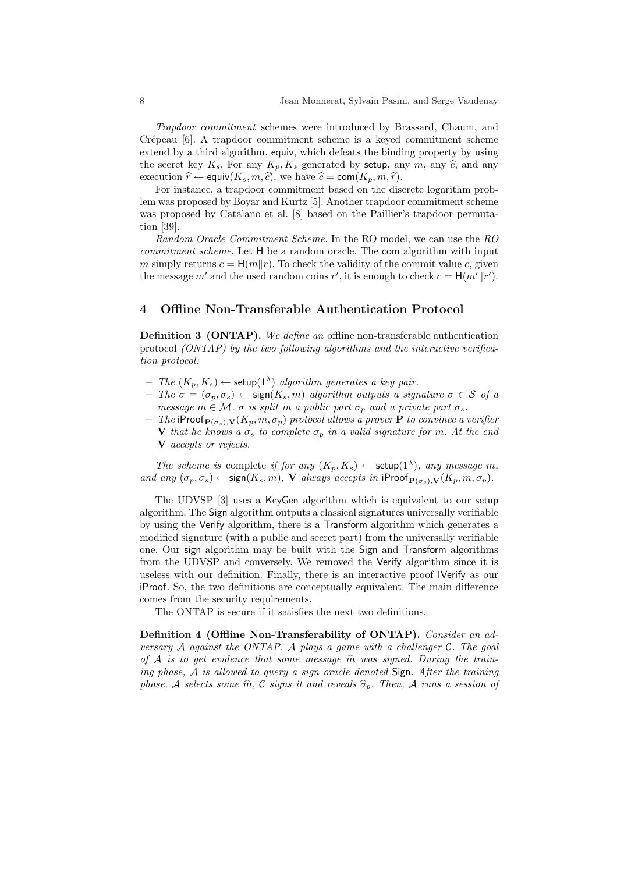Trapdoor commitment schemes were introduced by Brassard, Chaum, and Crépeau  $[6]$ . A trapdoor commitment scheme is a keyed commitment scheme extend by a third algorithm, equiv, which defeats the binding property by using the secret key  $K_s$ . For any  $K_p, K_s$  generated by setup, any m, any  $\hat{c}$ , and any execution  $\hat{r} \leftarrow$  equiv $(K_s, m, \hat{c})$ , we have  $\hat{c} = \text{com}(K_p, m, \hat{r})$ .

For instance, a trapdoor commitment based on the discrete logarithm problem was proposed by Boyar and Kurtz [5]. Another trapdoor commitment scheme was proposed by Catalano et al. [8] based on the Paillier's trapdoor permutation [39].

Random Oracle Commitment Scheme. In the RO model, we can use the RO commitment scheme. Let H be a random oracle. The com algorithm with input m simply returns  $c = H(m||r)$ . To check the validity of the commit value c, given the message m' and the used random coins r', it is enough to check  $c = H(m'||r')$ .

## 4 Offline Non-Transferable Authentication Protocol

Definition 3 (ONTAP). We define an offline non-transferable authentication protocol (ONTAP) by the two following algorithms and the interactive verification protocol:

- The  $(K_p, K_s) \leftarrow$  setup $(1^{\lambda})$  algorithm generates a key pair.
- The  $\sigma = (\sigma_p, \sigma_s) \leftarrow \text{sign}(K_s, m)$  algorithm outputs a signature  $\sigma \in \mathcal{S}$  of a message  $m \in \mathcal{M}$ .  $\sigma$  is split in a public part  $\sigma_p$  and a private part  $\sigma_s$ .
- The iProof $_{\mathbf{P}(\sigma_s),\mathbf{V}}(K_p,m,\sigma_p)$  protocol allows a prover P to convince a verifier **V** that he knows a  $\sigma_s$  to complete  $\sigma_p$  in a valid signature for m. At the end V accepts or rejects.

The scheme is complete if for any  $(K_p, K_s) \leftarrow \text{setup}(1^{\lambda})$ , any message m, and any  $(\sigma_p, \sigma_s) \leftarrow \text{sign}(K_s, m)$ , V always accepts in iProof $_{\mathbf{P}(\sigma_s), \mathbf{V}}(K_p, m, \sigma_p)$ .

The UDVSP [3] uses a KeyGen algorithm which is equivalent to our setup algorithm. The Sign algorithm outputs a classical signatures universally verifiable by using the Verify algorithm, there is a Transform algorithm which generates a modified signature (with a public and secret part) from the universally verifiable one. Our sign algorithm may be built with the Sign and Transform algorithms from the UDVSP and conversely. We removed the Verify algorithm since it is useless with our definition. Finally, there is an interactive proof IVerify as our iProof. So, the two definitions are conceptually equivalent. The main difference comes from the security requirements.

The ONTAP is secure if it satisfies the next two definitions.

Definition 4 (Offline Non-Transferability of ONTAP). Consider an adversary A against the ONTAP. A plays a game with a challenger  $\mathcal{C}$ . The goal of A is to get evidence that some message  $\hat{m}$  was signed. During the training phase, A is allowed to query a sign oracle denoted Sign. After the training phase, A selects some  $\hat{m}$ , C signs it and reveals  $\hat{\sigma}_p$ . Then, A runs a session of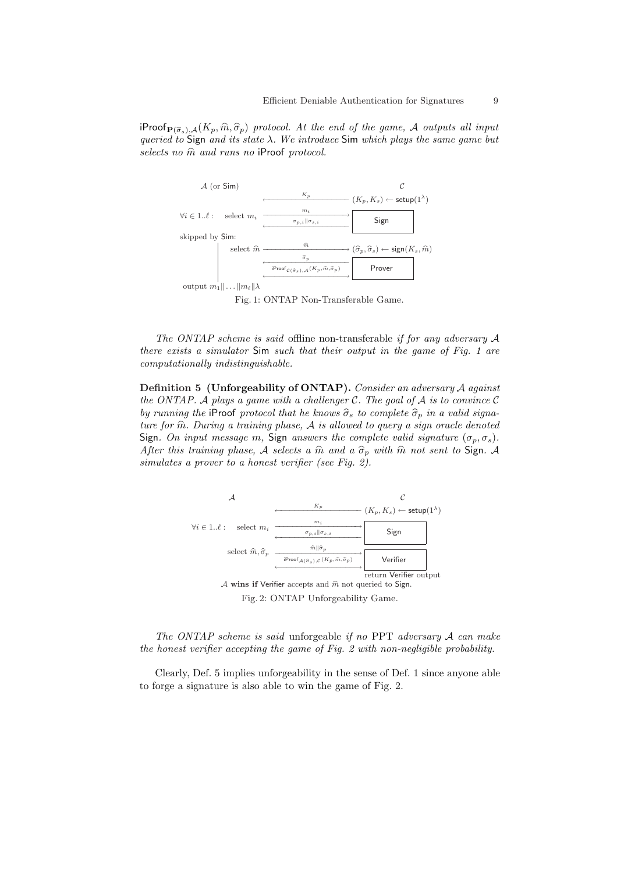iProof $_{\mathbf{P}(\hat{\sigma}_{s}),\mathcal{A}}(K_p, \hat{m}, \hat{\sigma}_p)$  protocol. At the end of the game, A outputs all input queried to Sign and its state  $\lambda$ . We introduce Sim which plays the same game but selects no  $\hat{m}$  and runs no iProof protocol.



Fig. 1: ONTAP Non-Transferable Game.

The ONTAP scheme is said offline non-transferable if for any adversary A there exists a simulator Sim such that their output in the game of Fig. 1 are computationally indistinguishable.

Definition 5 (Unforgeability of ONTAP). Consider an adversary A against the ONTAP. A plays a game with a challenger  $\mathcal C$ . The goal of  $\mathcal A$  is to convince  $\mathcal C$ by running the iProof protocol that he knows  $\hat{\sigma}_s$  to complete  $\hat{\sigma}_p$  in a valid signature for  $\hat{m}$ . During a training phase, A is allowed to query a sign oracle denoted Sign. On input message m, Sign answers the complete valid signature  $(\sigma_p, \sigma_s)$ . After this training phase, A selects a  $\hat{m}$  and a  $\hat{\sigma}_p$  with  $\hat{m}$  not sent to Sign. A simulates a prover to a honest verifier (see Fig. 2).



The ONTAP scheme is said unforgeable if no PPT adversary  $A$  can make the honest verifier accepting the game of Fig. 2 with non-negligible probability.

Clearly, Def. 5 implies unforgeability in the sense of Def. 1 since anyone able to forge a signature is also able to win the game of Fig. 2.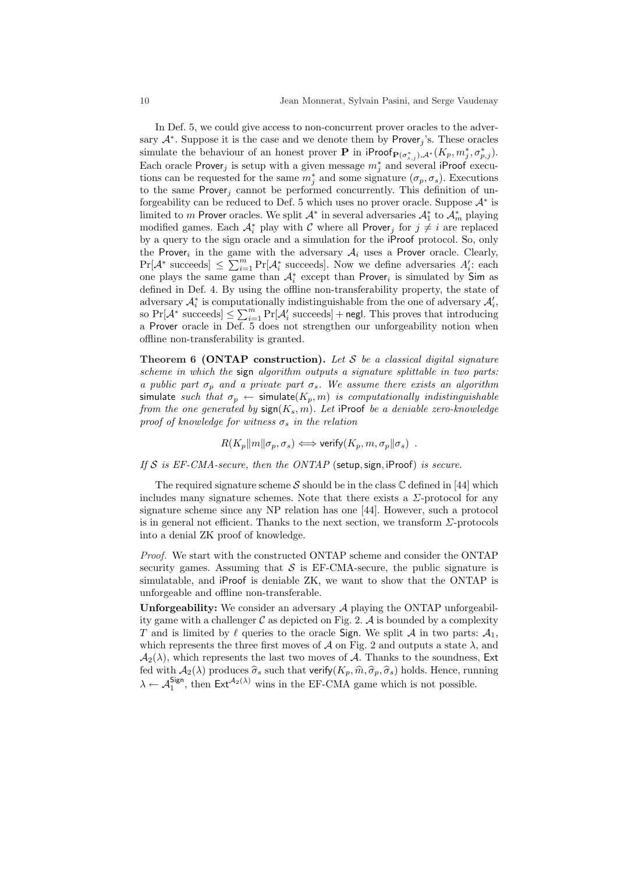In Def. 5, we could give access to non-concurrent prover oracles to the adversary  $\mathcal{A}^*$ . Suppose it is the case and we denote them by Prover<sub>j</sub>'s. These oracles simulate the behaviour of an honest prover **P** in  $i$ Proof $_{P(\sigma_{s,j}^*)}$ ,  $\mathcal{A}^*(K_p, m_j^*, \sigma_{p,j}^*)$ . Each oracle Prover<sub>j</sub> is setup with a given message  $m_j^*$  and several iProof executions can be requested for the same  $m_j^*$  and some signature  $(\sigma_p, \sigma_s)$ . Executions to the same Prover<sub>j</sub> cannot be performed concurrently. This definition of unforgeability can be reduced to Def. 5 which uses no prover oracle. Suppose  $\mathcal{A}^*$  is limited to m Prover oracles. We split  $\mathcal{A}^*$  in several adversaries  $\mathcal{A}_1^*$  to  $\mathcal{A}_m^*$  playing modified games. Each  $\mathcal{A}_i^*$  play with C where all Prover<sub>j</sub> for  $j \neq i$  are replaced by a query to the sign oracle and a simulation for the iProof protocol. So, only the Prover<sub>i</sub> in the game with the adversary  $A_i$  uses a Prover oracle. Clearly,  $Pr[\mathcal{A}^*$  succeeds]  $\leq \sum_{i=1}^m Pr[\mathcal{A}_i^*$  succeeds]. Now we define adversaries  $A_i'$ : each one plays the same game than  $A_i^*$  except than Prover<sub>i</sub> is simulated by Sim as defined in Def. 4. By using the offline non-transferability property, the state of adversary  $\mathcal{A}_i^*$  is computationally indistinguishable from the one of adversary  $\mathcal{A}_i'$ , surversary  $A_i$  is computationally must inguishable from the one of adversary  $A_i$ , so  $Pr[A^*$  succeeds]  $\leq \sum_{i=1}^m Pr[A'_i$  succeeds] + negl. This proves that introducing a Prover oracle in Def. 5 does not strengthen our unforgeability notion when offline non-transferability is granted.

**Theorem 6 (ONTAP construction).** Let S be a classical digital signature scheme in which the sign algorithm outputs a signature splittable in two parts: a public part  $\sigma_p$  and a private part  $\sigma_s$ . We assume there exists an algorithm simulate such that  $\sigma_p \leftarrow$  simulate $(K_p, m)$  is computationally indistinguishable from the one generated by  $sign(K_s, m)$ . Let iProof be a deniable zero-knowledge proof of knowledge for witness  $\sigma_s$  in the relation

$$
R(K_p||m||\sigma_p, \sigma_s) \Longleftrightarrow \text{verify}(K_p, m, \sigma_p||\sigma_s) .
$$

If S is EF-CMA-secure, then the ONTAP (setup, sign, iProof) is secure.

The required signature scheme S should be in the class  $\mathbb C$  defined in [44] which includes many signature schemes. Note that there exists a  $\Sigma$ -protocol for any signature scheme since any NP relation has one [44]. However, such a protocol is in general not efficient. Thanks to the next section, we transform  $\Sigma$ -protocols into a denial ZK proof of knowledge.

Proof. We start with the constructed ONTAP scheme and consider the ONTAP security games. Assuming that  $S$  is EF-CMA-secure, the public signature is simulatable, and iProof is deniable ZK, we want to show that the ONTAP is unforgeable and offline non-transferable.

**Unforgeability:** We consider an adversary  $\mathcal{A}$  playing the ONTAP unforgeability game with a challenger  $\mathcal C$  as depicted on Fig. 2.  $\mathcal A$  is bounded by a complexity T and is limited by  $\ell$  queries to the oracle Sign. We split A in two parts:  $A_1$ , which represents the three first moves of  $\mathcal A$  on Fig. 2 and outputs a state  $\lambda$ , and  $\mathcal{A}_2(\lambda)$ , which represents the last two moves of A. Thanks to the soundness, Ext fed with  $A_2(\lambda)$  produces  $\hat{\sigma}_s$  such that verify $(K_p, \hat{m}, \hat{\sigma}_p, \hat{\sigma}_s)$  holds. Hence, running  $\lambda \leftarrow \mathcal{A}_1^{\mathsf{Sign}}$ , then  $\mathsf{Ext}^{\mathcal{A}_2(\lambda)}$  wins in the EF-CMA game which is not possible.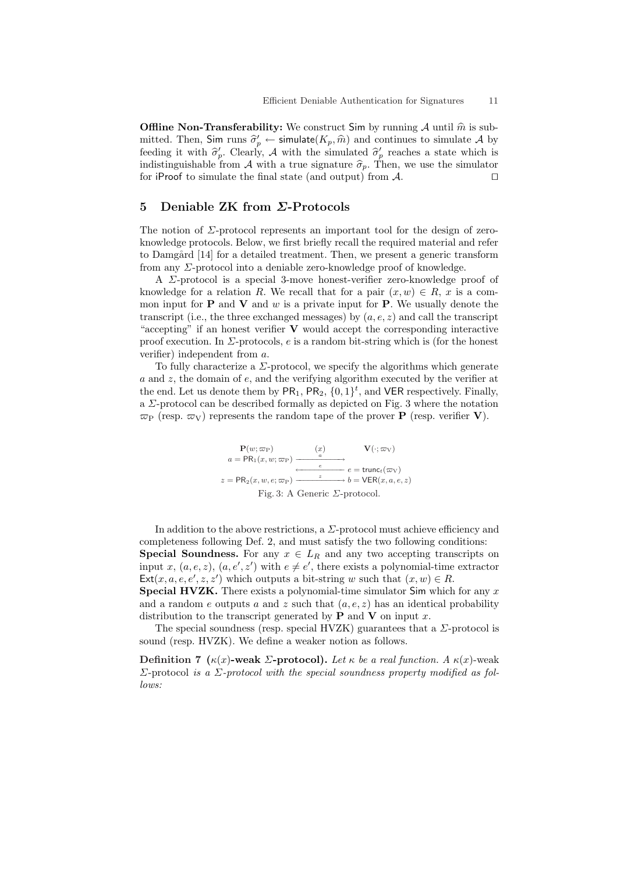**Offline Non-Transferability:** We construct Sim by running A until  $\hat{m}$  is submitted. Then, Sim runs  $\hat{\sigma}_p' \leftarrow \textsf{simulate}(K_p, \hat{m})$  and continues to simulate A by feeding it with  $\hat{\sigma}_p'$ . Clearly, A with the simulated  $\hat{\sigma}_p'$  reaches a state which is indistinguishable from A with a true signature  $\hat{\sigma}_p$ . Then, we use the simulator for iProof to simulate the final state (and output) from  $\mathcal{A}$ .

# 5 Deniable ZK from Σ-Protocols

The notion of  $\Sigma$ -protocol represents an important tool for the design of zeroknowledge protocols. Below, we first briefly recall the required material and refer to Damgård [14] for a detailed treatment. Then, we present a generic transform from any Σ-protocol into a deniable zero-knowledge proof of knowledge.

A Σ-protocol is a special 3-move honest-verifier zero-knowledge proof of knowledge for a relation R. We recall that for a pair  $(x, w) \in R$ , x is a common input for **P** and **V** and w is a private input for **P**. We usually denote the transcript (i.e., the three exchanged messages) by  $(a, e, z)$  and call the transcript "accepting" if an honest verifier V would accept the corresponding interactive proof execution. In  $\Sigma$ -protocols, e is a random bit-string which is (for the honest verifier) independent from a.

To fully characterize a  $\Sigma$ -protocol, we specify the algorithms which generate  $a$  and  $z$ , the domain of  $e$ , and the verifying algorithm executed by the verifier at the end. Let us denote them by  $PR_1$ ,  $PR_2$ ,  $\{0, 1\}^t$ , and VER respectively. Finally, a  $\Sigma$ -protocol can be described formally as depicted on Fig. 3 where the notation  $\varpi_{\rm P}$  (resp.  $\varpi_{\rm V}$ ) represents the random tape of the prover **P** (resp. verifier **V**).

$$
P(w; \varpi_P) \xrightarrow{ (x) } V(\cdot; \varpi_V)
$$
  
\n
$$
a = PR_1(x, w; \varpi_P) \xrightarrow{a} e = \text{trunc}_t(\varpi_V)
$$
  
\n
$$
z = PR_2(x, w, e; \varpi_P) \xrightarrow{z} b = VER(x, a, e, z)
$$
  
\nFig. 3: A Generic *Z*-protocol.

In addition to the above restrictions, a  $\Sigma$ -protocol must achieve efficiency and completeness following Def. 2, and must satisfy the two following conditions: **Special Soundness.** For any  $x \in L_R$  and any two accepting transcripts on input x,  $(a, e, z)$ ,  $(a, e', z')$  with  $e \neq e'$ , there exists a polynomial-time extractor  $\textsf{Ext}(x, a, e, e', z, z')$  which outputs a bit-string w such that  $(x, w) \in R$ .

**Special HVZK.** There exists a polynomial-time simulator Sim which for any  $x$ and a random e outputs a and z such that  $(a, e, z)$  has an identical probability distribution to the transcript generated by  $P$  and  $V$  on input x.

The special soundness (resp. special HVZK) guarantees that a  $\Sigma$ -protocol is sound (resp. HVZK). We define a weaker notion as follows.

Definition 7 ( $\kappa(x)$ -weak  $\Sigma$ -protocol). Let  $\kappa$  be a real function. A  $\kappa(x)$ -weak  $Σ$ -protocol is a  $Σ$ -protocol with the special soundness property modified as follows: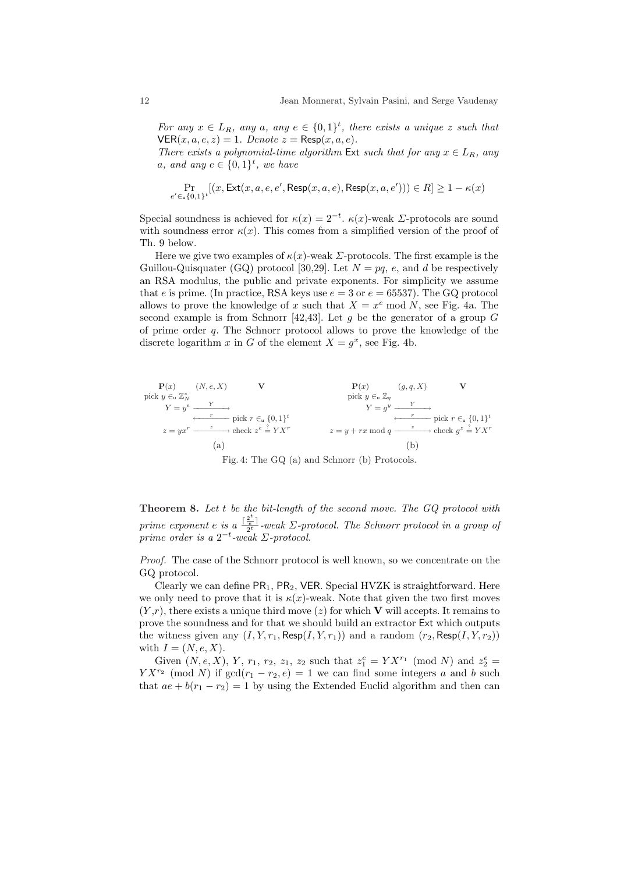For any  $x \in L_R$ , any  $a$ , any  $e \in \{0,1\}^t$ , there exists a unique z such that  $VER(x, a, e, z) = 1$ . Denote  $z = Resp(x, a, e)$ .

There exists a polynomial-time algorithm Ext such that for any  $x \in L_R$ , any a, and any  $e \in \{0,1\}^t$ , we have

$$
\Pr_{e'\in \mathbf{u}\{0,1\}^t}[(x,\textsf{Ext}(x,a,e,e',\textsf{Resp}(x,a,e),\textsf{Resp}(x,a,e')))\in R]\geq 1-\kappa(x)
$$

Special soundness is achieved for  $\kappa(x) = 2^{-t}$ .  $\kappa(x)$ -weak  $\Sigma$ -protocols are sound with soundness error  $\kappa(x)$ . This comes from a simplified version of the proof of Th. 9 below.

Here we give two examples of  $\kappa(x)$ -weak  $\Sigma$ -protocols. The first example is the Guillou-Quisquater (GQ) protocol [30,29]. Let  $N = pq, e$ , and d be respectively an RSA modulus, the public and private exponents. For simplicity we assume that e is prime. (In practice, RSA keys use  $e = 3$  or  $e = 65537$ ). The GQ protocol allows to prove the knowledge of x such that  $X = x^e \mod N$ , see Fig. 4a. The second example is from Schnorr [42,43]. Let g be the generator of a group  $G$ of prime order q. The Schnorr protocol allows to prove the knowledge of the discrete logarithm x in G of the element  $X = g^x$ , see Fig. 4b.



Theorem 8. Let t be the bit-length of the second move. The GQ protocol with prime exponent e is a  $\frac{\lceil \frac{2^t}{e} \rceil}{2^t}$  $\frac{\overline{e} \perp}{2^t}$ -weak  $\Sigma$ -protocol. The Schnorr protocol in a group of prime order is a  $2^{-t}$ -weak  $\Sigma$ -protocol.

Proof. The case of the Schnorr protocol is well known, so we concentrate on the GQ protocol.

Clearly we can define  $PR_1$ ,  $PR_2$ , VER. Special HVZK is straightforward. Here we only need to prove that it is  $\kappa(x)$ -weak. Note that given the two first moves  $(Y, r)$ , there exists a unique third move  $(z)$  for which V will accepts. It remains to prove the soundness and for that we should build an extractor Ext which outputs the witness given any  $(I, Y, r_1, \text{Resp}(I, Y, r_1))$  and a random  $(r_2, \text{Resp}(I, Y, r_2))$ with  $I = (N, e, X)$ .

Given  $(N, e, X)$ , Y,  $r_1, r_2, z_1, z_2$  such that  $z_1^e = Y X^{r_1} \pmod{N}$  and  $z_2^e =$  $Y X^{r_2} \pmod{N}$  if  $gcd(r_1 - r_2, e) = 1$  we can find some integers a and b such that  $ae + b(r_1 - r_2) = 1$  by using the Extended Euclid algorithm and then can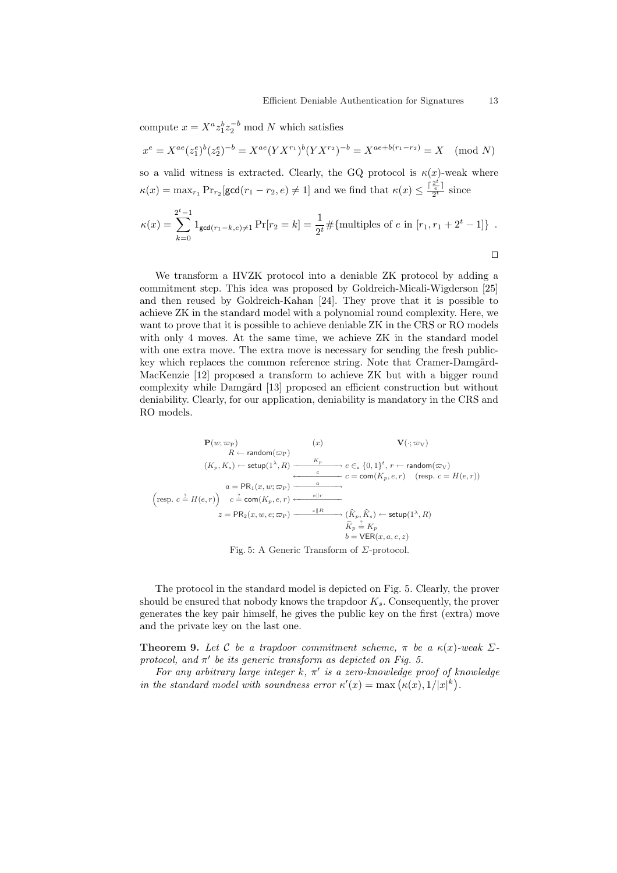$\Box$ 

compute  $x = X^a z_1^b z_2^{-b} \mod N$  which satisfies

$$
x^{e} = X^{ae}(z_{1}^{e})^{b}(z_{2}^{e})^{-b} = X^{ae}(YX^{r_{1}})^{b}(YX^{r_{2}})^{-b} = X^{ae+b(r_{1}-r_{2})} = X \pmod{N}
$$

so a valid witness is extracted. Clearly, the GQ protocol is  $\kappa(x)$ -weak where  $\kappa(x) = \max_{r_1} \Pr_{r_2}[\gcd(r_1 - r_2, e) \neq 1]$  and we find that  $\kappa(x) \leq \frac{\lceil \frac{2^t}{e} \rceil}{2^t}$  $\frac{\overline{e}+}{2^t}$  since

$$
\kappa(x) = \sum_{k=0}^{2^t - 1} 1_{\gcd(r_1 - k, e) \neq 1} \Pr[r_2 = k] = \frac{1}{2^t} \# \{\text{multiples of } e \text{ in } [r_1, r_1 + 2^t - 1] \}.
$$

We transform a HVZK protocol into a deniable ZK protocol by adding a commitment step. This idea was proposed by Goldreich-Micali-Wigderson [25] and then reused by Goldreich-Kahan [24]. They prove that it is possible to achieve ZK in the standard model with a polynomial round complexity. Here, we want to prove that it is possible to achieve deniable ZK in the CRS or RO models with only 4 moves. At the same time, we achieve ZK in the standard model with one extra move. The extra move is necessary for sending the fresh publickey which replaces the common reference string. Note that Cramer-Damgård-MacKenzie [12] proposed a transform to achieve ZK but with a bigger round complexity while Damgård [13] proposed an efficient construction but without deniability. Clearly, for our application, deniability is mandatory in the CRS and RO models.

$$
\begin{array}{ccc}\n\mathbf{P}(w; \varpi_{\mathbf{P}}) & (x) & \mathbf{V}(\cdot; \varpi_{\mathbf{V}}) \\
R \leftarrow \text{random}(\varpi_{\mathbf{P}}) & \\
(K_p, K_s) \leftarrow \text{setup}(1^{\lambda}, R) & \xrightarrow{K_p} e \in_u \{0, 1\}^t, r \leftarrow \text{random}(\varpi_{\mathbf{V}}) \\
& \xrightarrow{a} e = \text{com}(K_p, e, r) & (\text{resp. } c = H(e, r)) \\
\text{(resp. } c \stackrel{?}{=} H(e, r) & c \stackrel{?}{=} \text{com}(K_p, e, r) \leftarrow e||r} \\
& z = \text{PR}_2(x, w, e; \varpi_{\mathbf{P}}) & \xrightarrow{z||R} (\widehat{K}_p, \widehat{K}_s) \leftarrow \text{setup}(1^{\lambda}, R) \\
& \hat{K}_p \stackrel{?}{=} K_p & \text{bestup}(1^{\lambda}, R) \\
& \hat{K}_p \stackrel{?}{=} K_p & \text{bestup}(X, a, e, z) \\
& \xrightarrow{\text{PER}(X, a, e, z)} \text{R} \leftarrow \text{S} \leftarrow \text{S} \leftarrow \text{S} \leftarrow \text{S} \leftarrow \text{S} \leftarrow \text{S} \leftarrow \text{S} \leftarrow \text{S} \leftarrow \text{S} \leftarrow \text{S} \leftarrow \text{S} \leftarrow \text{S} \leftarrow \text{S} \leftarrow \text{S} \leftarrow \text{S} \leftarrow \text{S} \leftarrow \text{S} \leftarrow \text{S} \leftarrow \text{S} \leftarrow \text{S} \leftarrow \text{S} \leftarrow \text{S} \leftarrow \text{S} \leftarrow \text{S} \leftarrow \text{S} \leftarrow \text{S} \leftarrow \text{S} \leftarrow \text{S} \leftarrow \text{S} \leftarrow \text{S} \leftarrow \text{S} \leftarrow \text{S} \leftarrow \text{S} \leftarrow \text{S} \leftarrow \text{S} \leftarrow \text{S} \leftarrow \text{S} \leftarrow \text{S} \leftarrow \text{S} \leftarrow \text{S} \leftarrow \text{S} \leftarrow \text{S} \leftarrow \text{S} \leftarrow \text{S} \leftarrow \text{S} \
$$

Fig. 5: A Generic Transform of Σ-protocol.

The protocol in the standard model is depicted on Fig. 5. Clearly, the prover should be ensured that nobody knows the trapdoor  $K_s$ . Consequently, the prover generates the key pair himself, he gives the public key on the first (extra) move and the private key on the last one.

**Theorem 9.** Let C be a trapdoor commitment scheme,  $\pi$  be a  $\kappa(x)$ -weak  $\Sigma$ protocol, and  $\pi'$  be its generic transform as depicted on Fig. 5.

For any arbitrary large integer  $k, \pi'$  is a zero-knowledge proof of knowledge For any arourary targe integer  $\kappa$ ,  $\pi$  is a zero-knowledge proof of  $\kappa$  in the standard model with soundness error  $\kappa'(x) = \max (\kappa(x), 1/|x|^k)$ .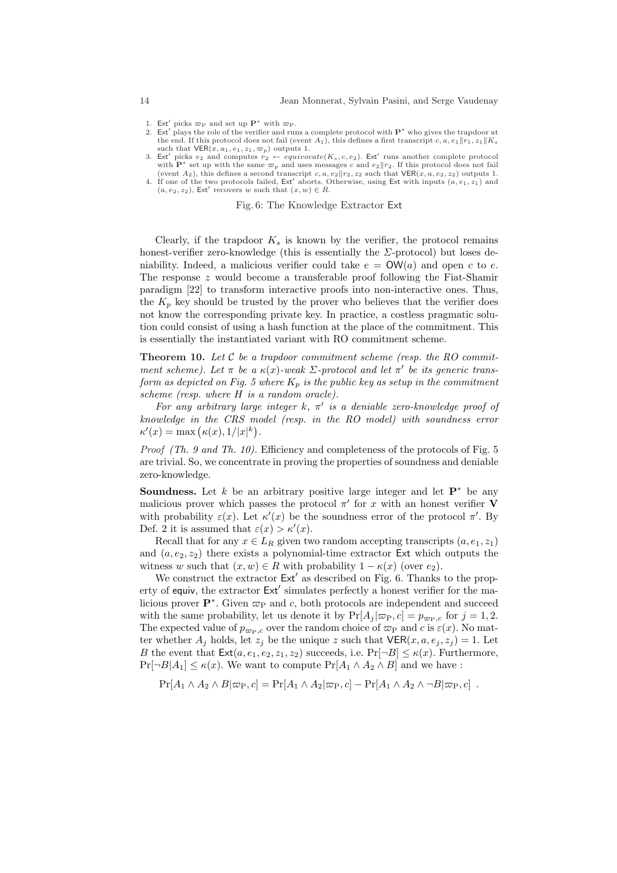- 
- 1. Ext' picks  $\varpi_P$  and set up P<sup>∗</sup> with  $\varpi_P$ .<br>2. Ext' plays the role of the verifier and runs a complete protocol with P<sup>∗</sup> who gives the trapdoor at the end. If this protocol does not fail (event  $A_1$ ), this defines a first transcript  $c, a, e_1||r_1, z_1||K_s$ such that  $VER(x, a_1, e_1, z_1, \varpi_p)$  outputs 1.<br>3. Ext' picks  $e_2$  and computes  $r_2 \leftarrow \text{equivocate}(K_s, c, e_2)$ . Ext' runs another complete protocol
- with  $\mathbf{P}^*$  set up with the same  $\varpi_p$  and uses messages c and  $e_2||r_2$ . If this protocol does not fail (event  $A_2$ ), this defines a second transcript c, a,  $e_2||r_2, z_2$  such that  $VER(x, a, e_2, z_2)$  outputs 1.
- 4. If one of the two protocols failed, Ext' aborts. Otherwise, using Ext with inputs  $(a, e_1, z_1)$  and  $(a, e_2, z_2)$ , Ext' recovers w such that  $(x, w) \in R$ .

#### Fig. 6: The Knowledge Extractor Ext

Clearly, if the trapdoor  $K_s$  is known by the verifier, the protocol remains honest-verifier zero-knowledge (this is essentially the  $\Sigma$ -protocol) but loses deniability. Indeed, a malicious verifier could take  $e = \mathsf{OW}(a)$  and open c to e. The response z would become a transferable proof following the Fiat-Shamir paradigm [22] to transform interactive proofs into non-interactive ones. Thus, the  $K_p$  key should be trusted by the prover who believes that the verifier does not know the corresponding private key. In practice, a costless pragmatic solution could consist of using a hash function at the place of the commitment. This is essentially the instantiated variant with RO commitment scheme.

**Theorem 10.** Let  $C$  be a trapdoor commitment scheme (resp. the RO commitment scheme). Let  $\pi$  be a  $\kappa(x)$ -weak  $\Sigma$ -protocol and let  $\pi'$  be its generic transform as depicted on Fig. 5 where  $K_p$  is the public key as setup in the commitment scheme (resp. where H is a random oracle).

For any arbitrary large integer  $k, \pi'$  is a deniable zero-knowledge proof of knowledge in the CRS model (resp. in the RO model) with soundness error  $\kappa n \overline{o}$  we can use  $\kappa$  if  $\kappa$  is  $\kappa$  if  $\kappa$  if  $\kappa$  if  $\kappa$  if  $\kappa$  if  $\kappa$  if  $\kappa$  if  $\kappa$  if  $\kappa$  if  $\kappa$  if  $\kappa$  if  $\kappa$  if  $\kappa$  if  $\kappa$  if  $\kappa$  if  $\kappa$  if  $\kappa$  if  $\kappa$  if  $\kappa$  if  $\kappa$  if

Proof (Th. 9 and Th. 10). Efficiency and completeness of the protocols of Fig. 5 are trivial. So, we concentrate in proving the properties of soundness and deniable zero-knowledge.

**Soundness.** Let k be an arbitrary positive large integer and let  $\mathbf{P}^*$  be any malicious prover which passes the protocol  $\pi'$  for x with an honest verifier V with probability  $\varepsilon(x)$ . Let  $\kappa'(x)$  be the soundness error of the protocol  $\pi'$ . By Def. 2 it is assumed that  $\varepsilon(x) > \kappa'(x)$ .

Recall that for any  $x \in L_R$  given two random accepting transcripts  $(a, e_1, z_1)$ and  $(a, e_2, z_2)$  there exists a polynomial-time extractor Ext which outputs the witness w such that  $(x, w) \in R$  with probability  $1 - \kappa(x)$  (over  $e_2$ ).

We construct the extractor  $Ext'$  as described on Fig. 6. Thanks to the property of equiv, the extractor  $Ext'$  simulates perfectly a honest verifier for the malicious prover  $\mathbf{P}^*$ . Given  $\varpi_P$  and c, both protocols are independent and succeed with the same probability, let us denote it by  $Pr[A_i | \varpi_P, c] = p_{\varpi_P,c}$  for  $j = 1, 2$ . The expected value of  $p_{\varpi_{P},c}$  over the random choice of  $\varpi_{P}$  and c is  $\varepsilon(x)$ . No matter whether  $A_j$  holds, let  $z_j$  be the unique z such that  $VER(x, a, e_j, z_j) = 1$ . Let B the event that  $\text{Ext}(a, e_1, e_2, z_1, z_2)$  succeeds, i.e.  $\Pr[\neg B] \leq \kappa(x)$ . Furthermore,  $Pr[\neg B|A_1] \leq \kappa(x)$ . We want to compute  $Pr[A_1 \wedge A_2 \wedge B]$  and we have :

$$
Pr[A_1 \wedge A_2 \wedge B | \varpi_P, c] = Pr[A_1 \wedge A_2 | \varpi_P, c] - Pr[A_1 \wedge A_2 \wedge \neg B | \varpi_P, c].
$$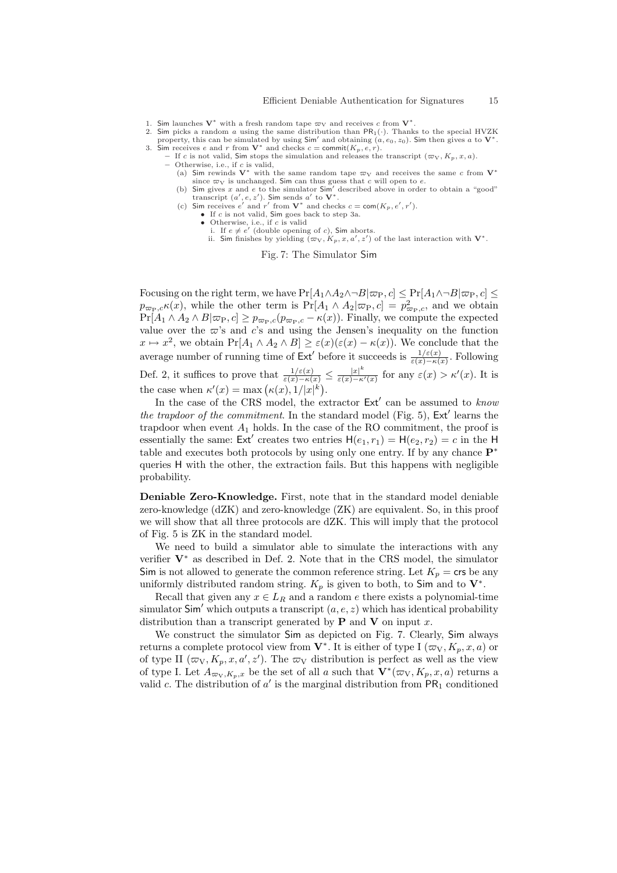- 1. Sim launches  $V^*$  with a fresh random tape  $\varpi_V$  and receives c from  $V^*$ .<br>2. Sim picks a random a using the same distribution than  $PR_1(\cdot)$ . Thanks to the special HVZK
- property, this can be simulated by using  $\text{Sim}'$  and obtaining  $(a, e_0, z_0)$ . Sim then gives a to  $\mathbf{V}^*$ . 3. Sim receives e and r from  $V^*$  and checks  $c = \text{commit}(K_p, e, r)$ .
	- If c is not valid, Sim stops the simulation and releases the transcript  $(\varpi_V, K_p, x, a)$ .<br>– Otherwise i.e. if c is valid
		-
		- Otherwise, i.e., if *c* is valid,<br>
		(a) Sim rewinds **V**<sup>\*</sup> with the same random tape  $\varpi$ <sub>V</sub> and receives the same *c* from **V**<sup>\*</sup><br>
		since  $\varpi$  v is unchanged. Sim can thus guess that *c* will open to *e*.<br>
		(b) Sim gi
			- If  $c$  is not valid, Sim goes back to step 3a.
				-
				- Otherwise, i.e., if c is valid<br>i. If  $e \neq e'$  (double opening of c), Sim aborts.
				- ii. Sim finishes by yielding  $(\varpi_V, K_p, x, a', z')$  of the last interaction with  $V^*$ .

Fig. 7: The Simulator Sim

Focusing on the right term, we have  $Pr[A_1 \wedge A_2 \wedge \neg B | \varpi_P, c] \leq Pr[A_1 \wedge \neg B | \varpi_P, c] \leq$  $p_{\varpi_P,c} \kappa(x)$ , while the other term is  $Pr[A_1 \wedge A_2 | \varpi_P, c] = p_{\varpi_P,c}^2$ , and we obtain  $Pr[A_1 \wedge A_2 \wedge B | \varpi_P, c] \geq p_{\varpi_P,c}(p_{\varpi_P,c} - \kappa(x)).$  Finally, we compute the expected value over the  $\varpi$ 's and c's and using the Jensen's inequality on the function  $x \mapsto x^2$ , we obtain  $Pr[A_1 \wedge A_2 \wedge B] \geq \varepsilon(x)(\varepsilon(x) - \kappa(x))$ . We conclude that the average number of running time of  $\text{Ext}'$  before it succeeds is  $\frac{1/\varepsilon(x)}{\varepsilon(x)-\kappa(x)}$ . Following Def. 2, it suffices to prove that  $\frac{1/\varepsilon(x)}{\varepsilon(x)-\kappa(x)} \leq \frac{|x|^k}{\varepsilon(x)-\kappa(x)}$ to prove that  $\frac{1/\varepsilon(x)}{\varepsilon(x)-\kappa(x)} \leq \frac{|x|^{\kappa}}{\varepsilon(x)-\kappa'(x)}$  for any  $\varepsilon(x) > \kappa'(x)$ . It is  $(x) = \max(\kappa(x), 1/|x|^k)$ . the case when  $\kappa'(x) = \max(\kappa(x), 1/|x|^k)$ .

In the case of the CRS model, the extractor  $Ext'$  can be assumed to know the trapdoor of the commitment. In the standard model (Fig. 5),  $Ext'$  learns the trapdoor when event  $A_1$  holds. In the case of the RO commitment, the proof is essentially the same: Ext' creates two entries  $H(e_1, r_1) = H(e_2, r_2) = c$  in the H table and executes both protocols by using only one entry. If by any chance  $\mathbf{P}^*$ queries H with the other, the extraction fails. But this happens with negligible probability.

Deniable Zero-Knowledge. First, note that in the standard model deniable zero-knowledge (dZK) and zero-knowledge (ZK) are equivalent. So, in this proof we will show that all three protocols are dZK. This will imply that the protocol of Fig. 5 is ZK in the standard model.

We need to build a simulator able to simulate the interactions with any verifier V<sup>∗</sup> as described in Def. 2. Note that in the CRS model, the simulator Sim is not allowed to generate the common reference string. Let  $K_p = \text{crs}$  be any uniformly distributed random string.  $K_p$  is given to both, to Sim and to  $V^*$ .

Recall that given any  $x \in L_R$  and a random e there exists a polynomial-time simulator  $\textsf{Sim}'$  which outputs a transcript  $(a, e, z)$  which has identical probability distribution than a transcript generated by  $P$  and  $V$  on input x.

We construct the simulator Sim as depicted on Fig. 7. Clearly, Sim always returns a complete protocol view from  $V^*$ . It is either of type I  $(\varpi_V, K_p, x, a)$  or of type II  $(\varpi_V, K_p, x, a', z')$ . The  $\varpi_V$  distribution is perfect as well as the view of type I. Let  $A_{\varpi\sqrt{X_p},x}$  be the set of all a such that  $\mathbf{V}^*(\varpi_{\mathbf{V}}, K_p, x, a)$  returns a valid c. The distribution of  $a'$  is the marginal distribution from  $PR_1$  conditioned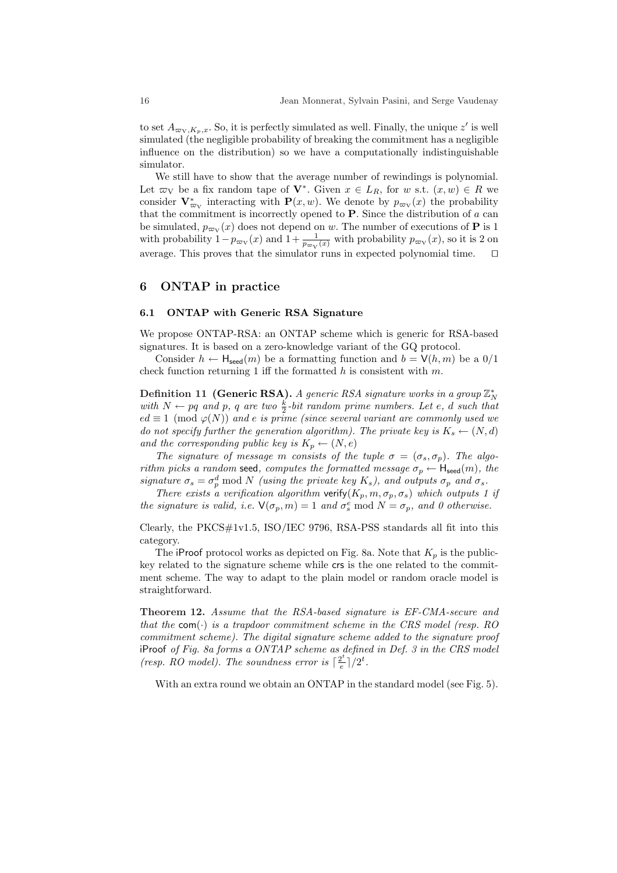to set  $A_{\varpi_V,K_p,x}$ . So, it is perfectly simulated as well. Finally, the unique z' is well simulated (the negligible probability of breaking the commitment has a negligible influence on the distribution) so we have a computationally indistinguishable simulator.

We still have to show that the average number of rewindings is polynomial. Let  $\varpi_V$  be a fix random tape of  $V^*$ . Given  $x \in L_R$ , for w s.t.  $(x, w) \in R$  we consider  $\mathbf{V}_{\varpi_V}^*$  interacting with  $\mathbf{P}(x, w)$ . We denote by  $p_{\varpi_V}(x)$  the probability that the commitment is incorrectly opened to  $P$ . Since the distribution of  $a$  can be simulated,  $p_{\varpi_V}(x)$  does not depend on w. The number of executions of **P** is 1 with probability  $1-p_{\varpi_V}(x)$  and  $1+\frac{1}{p_{\varpi_V}(x)}$  with probability  $p_{\varpi_V}(x)$ , so it is 2 on average. This proves that the simulator runs in expected polynomial time.  $\square$ 

## 6 ONTAP in practice

#### 6.1 ONTAP with Generic RSA Signature

We propose ONTAP-RSA: an ONTAP scheme which is generic for RSA-based signatures. It is based on a zero-knowledge variant of the GQ protocol.

Consider  $h \leftarrow H_{\text{seed}}(m)$  be a formatting function and  $b = V(h, m)$  be a  $0/1$ check function returning 1 iff the formatted  $h$  is consistent with  $m$ .

Definition 11 (Generic RSA). A generic RSA signature works in a group  $\mathbb{Z}_N^*$ with  $N \leftarrow pq$  and p, q are two  $\frac{k}{2}$ -bit random prime numbers. Let e, d such that  $ed \equiv 1 \pmod{\varphi(N)}$  and e is prime (since several variant are commonly used we do not specify further the generation algorithm). The private key is  $K_s \leftarrow (N, d)$ and the corresponding public key is  $K_p \leftarrow (N, e)$ 

The signature of message m consists of the tuple  $\sigma = (\sigma_s, \sigma_p)$ . The algorithm picks a random seed, computes the formatted message  $\sigma_p \leftarrow H_{\text{seed}}(m)$ , the signature  $\sigma_s = \sigma_p^d \mod N$  (using the private key  $K_s$ ), and outputs  $\sigma_p$  and  $\sigma_s$ .

There exists a verification algorithm verify  $(K_p, m, \sigma_p, \sigma_s)$  which outputs 1 if the signature is valid, i.e.  $\mathsf{V}(\sigma_p, m) = 1$  and  $\sigma_s^e \mod N = \sigma_p$ , and 0 otherwise.

Clearly, the PKCS#1v1.5, ISO/IEC 9796, RSA-PSS standards all fit into this category.

The iProof protocol works as depicted on Fig. 8a. Note that  $K_p$  is the publickey related to the signature scheme while crs is the one related to the commitment scheme. The way to adapt to the plain model or random oracle model is straightforward.

Theorem 12. Assume that the RSA-based signature is EF-CMA-secure and that the  $com(\cdot)$  is a trapdoor commitment scheme in the CRS model (resp. RO commitment scheme). The digital signature scheme added to the signature proof iProof of Fig. 8a forms a ONTAP scheme as defined in Def. 3 in the CRS model (resp. RO model). The soundness error is  $\lceil \frac{2^t}{s} \rceil$  $\frac{2^t}{e}$   $]/2^t$ .

With an extra round we obtain an ONTAP in the standard model (see Fig. 5).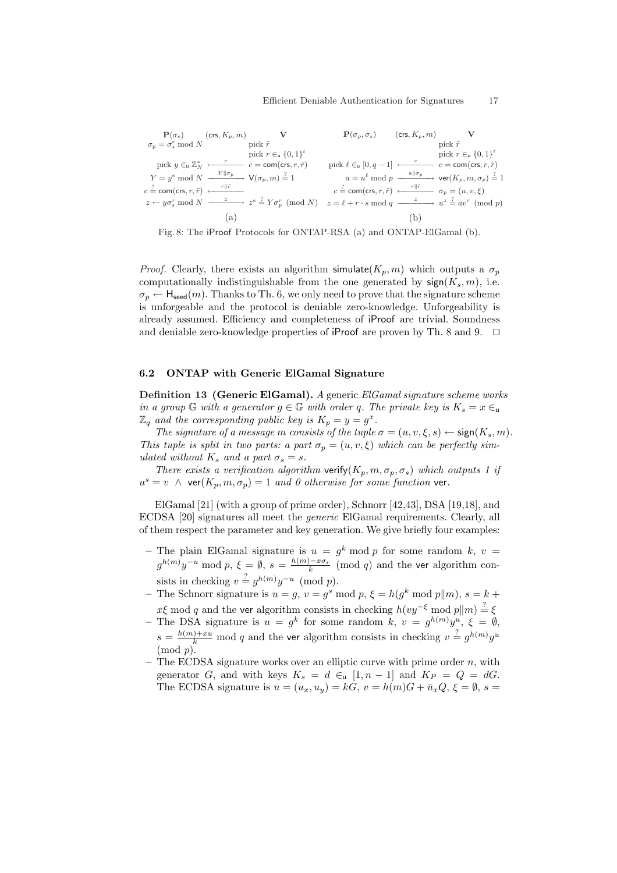#### Efficient Deniable Authentication for Signatures 17

$$
\begin{array}{llll}\n\mathbf{P}(\sigma_s) & (\mathbf{crs}, K_p, m) & \mathbf{V} & \mathbf{P}(\sigma_p, \sigma_s) & (\mathbf{crs}, K_p, m) & \mathbf{V} \\
\sigma_p = \sigma_s^c \bmod N & \text{pick } \tilde{r} & \text{pick } r \\
\text{pick } \eta & \text{pick } r \in_u \{0, 1\}^t & \text{pick } r \in_u \{0, 1\}^t \\
\text{pick } \eta & \text{check } r \in_u \{0, 1\}^t & \text{pick } r \in_u \{0, 1\}^t \\
Y = y^e \bmod N & \xrightarrow{Y \parallel \sigma_p} \mathbf{V}(\sigma_p, m) \stackrel{?}{=} 1 & \text{if } a = u^{\ell} \bmod p & \xrightarrow{a \parallel \sigma_p} \mathbf{ver}(K_p, m, \sigma_p) \stackrel{?}{=} 1 \\
c \stackrel{?}{=} \text{com}(\text{crs}, r, \tilde{r}) & \xleftarrow{r \parallel \tilde{r}} & c \stackrel{?}{=} \text{Com}(\text{crs}, r, \tilde{r}) & \xrightarrow{r \parallel \tilde{r}} & c \stackrel{?}{=} \text{com}(\text{crs}, r, \tilde{r}) & \xrightarrow{r \parallel \tilde{r}} & \text{or } \eta = (u, v, \xi) \\
z \leftarrow y \sigma_s^r \bmod N & \xrightarrow{z} & \text{if } z \in T \sigma_p^r \pmod N & z = \ell + r \cdot s \bmod q & \xrightarrow{z} & \text{if } u \in T \text{ (mod } p) \\
\text{(a)} & \text{(b)} & \text{(c)} & \text{(d)} & \text{(e)} & \text{(f)} & \text{(f)} & \text{(g)} & \text{(h)} & \text{(i)} & \text{(i)} & \text{(j)} & \text{(j)} & \text{(k)} & \text{(l)} & \text{(l)} & \text{(l)} & \text{(l)} & \text{(l)} & \text{(l)} & \text{(l)} & \text{(l)} & \text{(l)} & \text
$$

Fig. 8: The iProof Protocols for ONTAP-RSA (a) and ONTAP-ElGamal (b).

*Proof.* Clearly, there exists an algorithm simulate( $K_n$ , m) which outputs a  $\sigma_n$ computationally indistinguishable from the one generated by  $\text{sign}(K_s, m)$ , i.e.  $\sigma_p \leftarrow H_{\text{seed}}(m)$ . Thanks to Th. 6, we only need to prove that the signature scheme is unforgeable and the protocol is deniable zero-knowledge. Unforgeability is already assumed. Efficiency and completeness of iProof are trivial. Soundness and deniable zero-knowledge properties of  $i$ Proof are proven by Th. 8 and 9.  $\Box$ 

### 6.2 ONTAP with Generic ElGamal Signature

Definition 13 (Generic ElGamal). A generic ElGamal signature scheme works in a group G with a generator  $g \in \mathbb{G}$  with order q. The private key is  $K_s = x \in \mathbb{Q}$  $\mathbb{Z}_q$  and the corresponding public key is  $K_p = y = g^x$ .

The signature of a message m consists of the tuple  $\sigma = (u, v, \xi, s) \leftarrow \text{sign}(K_s, m)$ . This tuple is split in two parts: a part  $\sigma_p = (u, v, \xi)$  which can be perfectly simulated without  $K_s$  and a part  $\sigma_s = s$ .

There exists a verification algorithm verify( $K_p, m, \sigma_p, \sigma_s$ ) which outputs 1 if  $u^s = v \ \wedge \ \text{ver}(K_p, m, \sigma_p) = 1 \ and \ 0 \ otherwise \ for \ some \ function \ ver.$ 

ElGamal [21] (with a group of prime order), Schnorr [42,43], DSA [19,18], and ECDSA [20] signatures all meet the generic ElGamal requirements. Clearly, all of them respect the parameter and key generation. We give briefly four examples:

- The plain ElGamal signature is  $u = g^k \mod p$  for some random  $k, v =$  $g^{h(m)}y^{-u} \bmod p$ ,  $\xi = \emptyset$ ,  $s = \frac{h(m)-x\sigma_r}{k} \pmod{q}$  and the ver algorithm consists in checking  $v = g^{h(m)}y^{-u} \pmod{p}$ .
- The Schnorr signature is  $u = g$ ,  $v = g^s \mod p$ ,  $\xi = h(g^k \mod p || m)$ ,  $s = k +$  $x\xi \mod q$  and the ver algorithm consists in checking  $h(vy^{-\xi} \mod p||m) \stackrel{?}{=} \xi$
- The DSA signature is  $u = g^k$  for some random k,  $v = g^{h(m)}y^u$ ,  $\xi = \emptyset$ ,  $s = \frac{h(m)+xu}{k}$  mod q and the ver algorithm consists in checking  $v = g^{h(m)}y^u$  $(mod p).$
- $-$  The ECDSA signature works over an elliptic curve with prime order  $n$ , with generator G, and with keys  $K_s = d \in [1, n-1]$  and  $K_P = Q = dG$ . The ECDSA signature is  $u = (u_x, u_y) = k\ddot{G}, v = h(m)\ddot{G} + \bar{u}_x\dot{Q}, \xi = \emptyset, s =$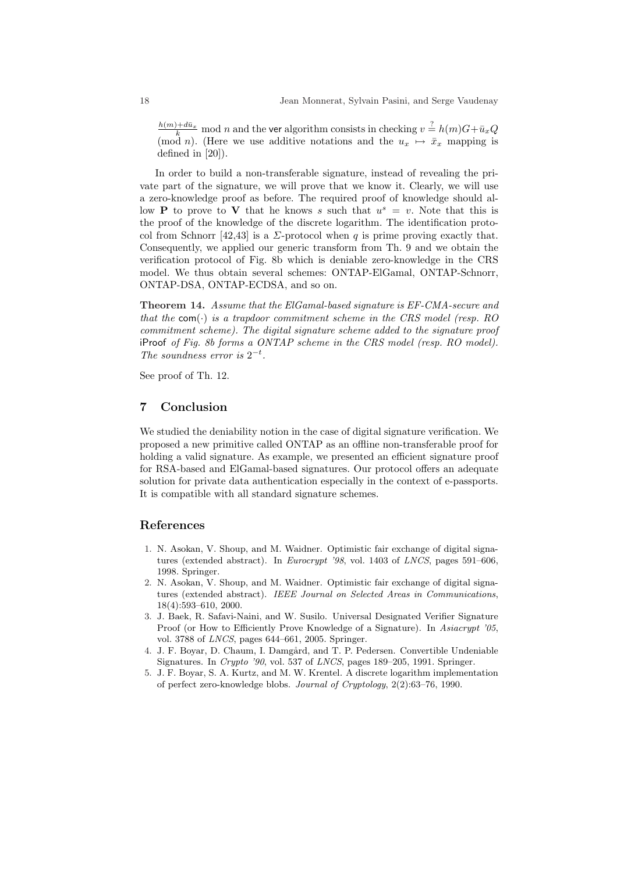$\frac{h(m)+d\bar{u}_x}{k}$  mod n and the ver algorithm consists in checking  $v \stackrel{?}{=} h(m)G + \bar{u}_x Q$ (mod n). (Here we use additive notations and the  $u_x \mapsto \bar{x}_x$  mapping is defined in [20]).

In order to build a non-transferable signature, instead of revealing the private part of the signature, we will prove that we know it. Clearly, we will use a zero-knowledge proof as before. The required proof of knowledge should allow **P** to prove to **V** that he knows s such that  $u^s = v$ . Note that this is the proof of the knowledge of the discrete logarithm. The identification protocol from Schnorr [42,43] is a  $\Sigma$ -protocol when q is prime proving exactly that. Consequently, we applied our generic transform from Th. 9 and we obtain the verification protocol of Fig. 8b which is deniable zero-knowledge in the CRS model. We thus obtain several schemes: ONTAP-ElGamal, ONTAP-Schnorr, ONTAP-DSA, ONTAP-ECDSA, and so on.

Theorem 14. Assume that the ElGamal-based signature is EF-CMA-secure and that the  $com(\cdot)$  is a trapdoor commitment scheme in the CRS model (resp. RO commitment scheme). The digital signature scheme added to the signature proof iProof of Fig. 8b forms a ONTAP scheme in the CRS model (resp. RO model). The soundness error is  $2^{-t}$ .

See proof of Th. 12.

# 7 Conclusion

We studied the deniability notion in the case of digital signature verification. We proposed a new primitive called ONTAP as an offline non-transferable proof for holding a valid signature. As example, we presented an efficient signature proof for RSA-based and ElGamal-based signatures. Our protocol offers an adequate solution for private data authentication especially in the context of e-passports. It is compatible with all standard signature schemes.

# References

- 1. N. Asokan, V. Shoup, and M. Waidner. Optimistic fair exchange of digital signatures (extended abstract). In *Eurocrypt '98*, vol. 1403 of *LNCS*, pages 591–606, 1998. Springer.
- 2. N. Asokan, V. Shoup, and M. Waidner. Optimistic fair exchange of digital signatures (extended abstract). IEEE Journal on Selected Areas in Communications, 18(4):593–610, 2000.
- 3. J. Baek, R. Safavi-Naini, and W. Susilo. Universal Designated Verifier Signature Proof (or How to Efficiently Prove Knowledge of a Signature). In Asiacrypt '05, vol. 3788 of LNCS, pages 644–661, 2005. Springer.
- 4. J. F. Boyar, D. Chaum, I. Damgård, and T. P. Pedersen. Convertible Undeniable Signatures. In Crypto '90, vol. 537 of LNCS, pages 189–205, 1991. Springer.
- 5. J. F. Boyar, S. A. Kurtz, and M. W. Krentel. A discrete logarithm implementation of perfect zero-knowledge blobs. Journal of Cryptology, 2(2):63–76, 1990.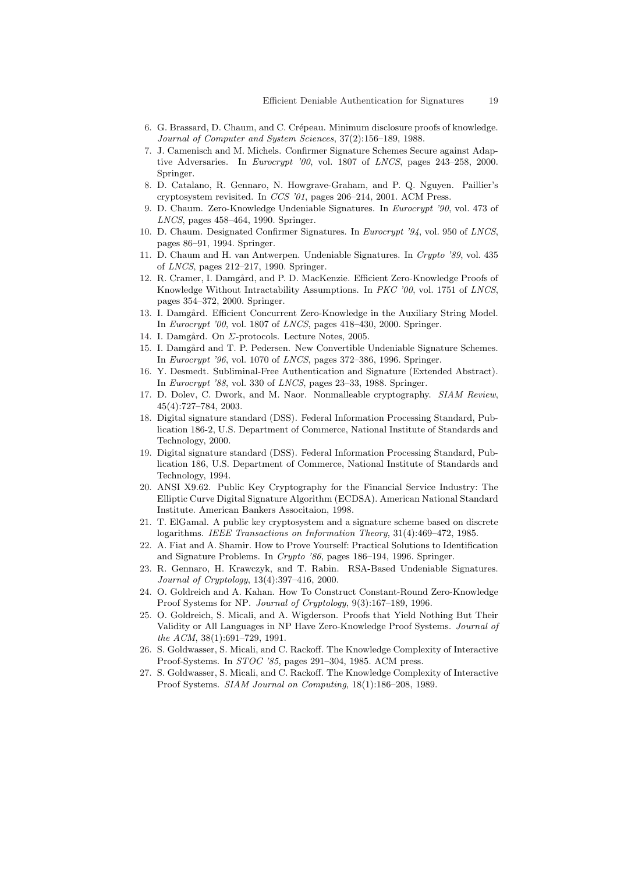- 6. G. Brassard, D. Chaum, and C. Crépeau. Minimum disclosure proofs of knowledge. Journal of Computer and System Sciences, 37(2):156–189, 1988.
- 7. J. Camenisch and M. Michels. Confirmer Signature Schemes Secure against Adaptive Adversaries. In Eurocrypt '00, vol. 1807 of LNCS, pages 243–258, 2000. Springer.
- 8. D. Catalano, R. Gennaro, N. Howgrave-Graham, and P. Q. Nguyen. Paillier's cryptosystem revisited. In CCS '01, pages 206–214, 2001. ACM Press.
- 9. D. Chaum. Zero-Knowledge Undeniable Signatures. In Eurocrypt '90, vol. 473 of LNCS, pages 458–464, 1990. Springer.
- 10. D. Chaum. Designated Confirmer Signatures. In Eurocrypt '94, vol. 950 of LNCS, pages 86–91, 1994. Springer.
- 11. D. Chaum and H. van Antwerpen. Undeniable Signatures. In Crypto '89, vol. 435 of LNCS, pages 212–217, 1990. Springer.
- 12. R. Cramer, I. Damgård, and P. D. MacKenzie. Efficient Zero-Knowledge Proofs of Knowledge Without Intractability Assumptions. In PKC '00, vol. 1751 of LNCS, pages 354–372, 2000. Springer.
- 13. I. Damgård. Efficient Concurrent Zero-Knowledge in the Auxiliary String Model. In Eurocrypt '00, vol. 1807 of LNCS, pages 418–430, 2000. Springer.
- 14. I. Damgård. On  $\Sigma$ -protocols. Lecture Notes, 2005.
- 15. I. Damgård and T. P. Pedersen. New Convertible Undeniable Signature Schemes. In Eurocrypt '96, vol. 1070 of LNCS, pages 372–386, 1996. Springer.
- 16. Y. Desmedt. Subliminal-Free Authentication and Signature (Extended Abstract). In Eurocrypt '88, vol. 330 of LNCS, pages 23–33, 1988. Springer.
- 17. D. Dolev, C. Dwork, and M. Naor. Nonmalleable cryptography. SIAM Review, 45(4):727–784, 2003.
- 18. Digital signature standard (DSS). Federal Information Processing Standard, Publication 186-2, U.S. Department of Commerce, National Institute of Standards and Technology, 2000.
- 19. Digital signature standard (DSS). Federal Information Processing Standard, Publication 186, U.S. Department of Commerce, National Institute of Standards and Technology, 1994.
- 20. ANSI X9.62. Public Key Cryptography for the Financial Service Industry: The Elliptic Curve Digital Signature Algorithm (ECDSA). American National Standard Institute. American Bankers Associtaion, 1998.
- 21. T. ElGamal. A public key cryptosystem and a signature scheme based on discrete logarithms. IEEE Transactions on Information Theory, 31(4):469–472, 1985.
- 22. A. Fiat and A. Shamir. How to Prove Yourself: Practical Solutions to Identification and Signature Problems. In Crypto '86, pages 186–194, 1996. Springer.
- 23. R. Gennaro, H. Krawczyk, and T. Rabin. RSA-Based Undeniable Signatures. Journal of Cryptology, 13(4):397–416, 2000.
- 24. O. Goldreich and A. Kahan. How To Construct Constant-Round Zero-Knowledge Proof Systems for NP. Journal of Cryptology, 9(3):167–189, 1996.
- 25. O. Goldreich, S. Micali, and A. Wigderson. Proofs that Yield Nothing But Their Validity or All Languages in NP Have Zero-Knowledge Proof Systems. Journal of the ACM, 38(1):691–729, 1991.
- 26. S. Goldwasser, S. Micali, and C. Rackoff. The Knowledge Complexity of Interactive Proof-Systems. In STOC '85, pages 291–304, 1985. ACM press.
- 27. S. Goldwasser, S. Micali, and C. Rackoff. The Knowledge Complexity of Interactive Proof Systems. SIAM Journal on Computing, 18(1):186–208, 1989.